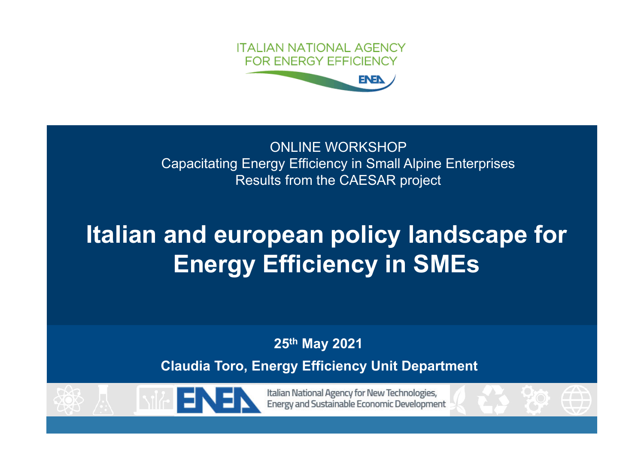

#### ONLINE WORKSHOP Capacitating Energy Efficiency in Small Alpine Enterprises Results from the CAESAR project

# Italian and european policy landscape for Energy Efficiency in SMEs

25th May 2021

Claudia Toro, Energy Efficiency Unit Department





Italian National Agency for New Technologies, Energy and Sustainable Economic Development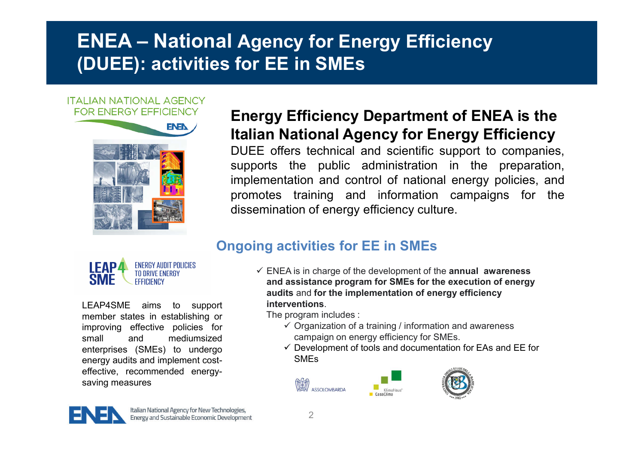### ENEA – National Agency for Energy Efficiency (DUEE): activities for EE in SMEs

#### **ITALIAN NATIONAL AGENCY FOR ENERGY EFFICIENCY**



#### Energy Efficiency Department of ENEA is the Italian National Agency for Energy Efficiency

DUEE offers technical and scientific support to companies, supports the public administration in the preparation, implementation and control of national energy policies, and promotes training and information campaigns for the dissemination of energy efficiency culture.

#### Ongoing activities for EE in SMEs



LEAP4SME aims to support member states in establishing or improving effective policies for small and mediumsized enterprises (SMEs) to undergo energy audits and implement costeffective, recommended energysaving measures

 $\checkmark$  ENEA is in charge of the development of the annual awareness and assistance program for SMEs for the execution of energy audits and for the implementation of energy efficiency **interventions** 

The program includes :

- $\checkmark$  Organization of a training / information and awareness campaign on energy efficiency for SMEs.
- $\checkmark$  Development of tools and documentation for EAs and EE for SMEs





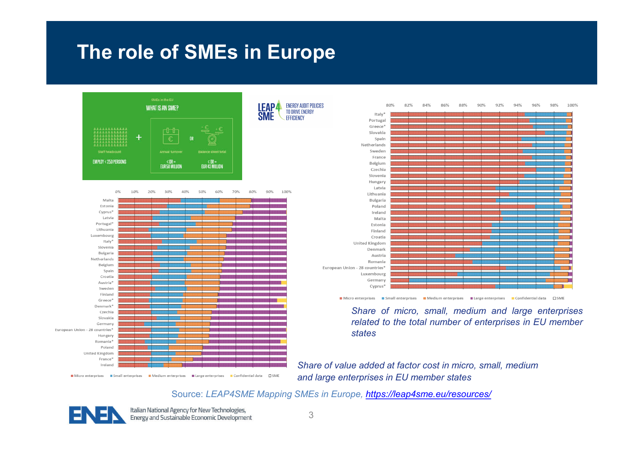### The role of SMEs in Europe





**■ Microenterprises ■ Smallenterprises ■ Mediumenterprises ■ Large enterprises ■ Confidential data □ SME** 

 $84%$ 88% 92% 96% 98% 100%  $80\%$  $82%$ 86% 90% 94% Italy Portugal Greece Slovakia Spain Netherlands Sweder France Belgium Czechia Slovenia Hungary Latvia Lithuania Bulgaria Poland Ireland Malta Estonia Finland Croatia United Kingdom Denmark Austria Romania European Union - 28 countries<sup>4</sup> Luxembourg Germany Cyprus<sup>®</sup>

Micro enterprises **a** Small enterprises **a** Medium enterprises **a** Large enterprises **a** Confidential data CSME

*Share of micro, small, medium and large enterprises related to the total number of enterprises in EU member states*

*Share of value added at factor cost in micro, small, medium and large enterprises in EU member states*

Source: *LEAP4SME Mapping SMEs in Europe, https://leap4sme.eu/resources/*



Italian National Agency for New Technologies, Energy and Sustainable Economic Development **ENERGY AUDIT POLICIES** 

**TO DRIVE ENERGY** 

FFFICIENCY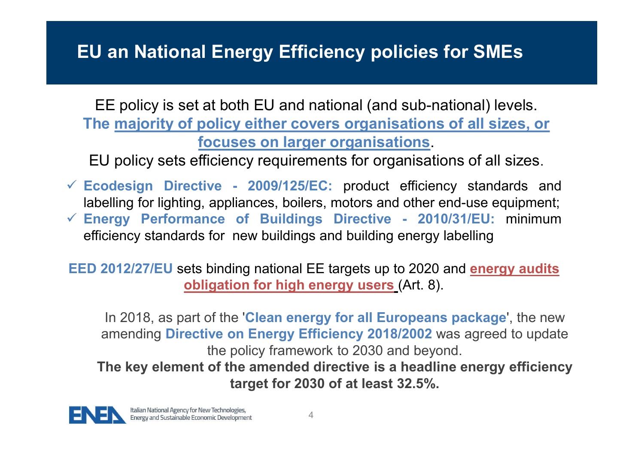### EU an National Energy Efficiency policies for SMEs

EE policy is set at both EU and national (and sub-national) levels. The majority of policy either covers organisations of all sizes, or focuses on larger organisations.

EU policy sets efficiency requirements for organisations of all sizes.

 $\checkmark$  Ecodesign Directive - 2009/125/EC: product efficiency standards and labelling for lighting, appliances, boilers, motors and other end-use equipment;  $\checkmark$  Energy Performance of Buildings Directive - 2010/31/EU: minimum efficiency standards for new buildings and building energy labelling

EED 2012/27/EU sets binding national EE targets up to 2020 and energy audits obligation for high energy users (Art. 8).

In 2018, as part of the 'Clean energy for all Europeans package', the new amending Directive on Energy Efficiency 2018/2002 was agreed to update the policy framework to 2030 and beyond.

The key element of the amended directive is a headline energy efficiency target for 2030 of at least 32.5%.

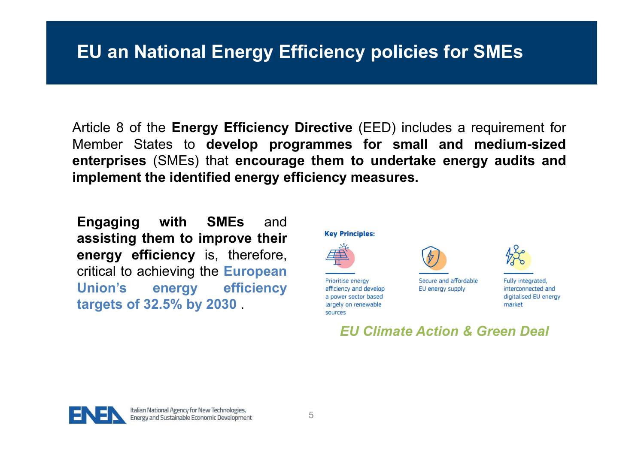#### EU an National Energy Efficiency policies for SMEs

Article 8 of the Energy Efficiency Directive (EED) includes a requirement for Member States to develop programmes for small and medium-sized enterprises (SMEs) that encourage them to undertake energy audits and implement the identified energy efficiency measures.

Engaging with SMEs and assisting them to improve their energy efficiency is, therefore, critical to achieving the European Union's energy efficiency targets of 32.5% by 2030 .



Prioritise energy efficiency and develop

sources

a power sector based

largely on renewable



Secure and affordable EU energy supply



*EU Climate Action & Green Deal*

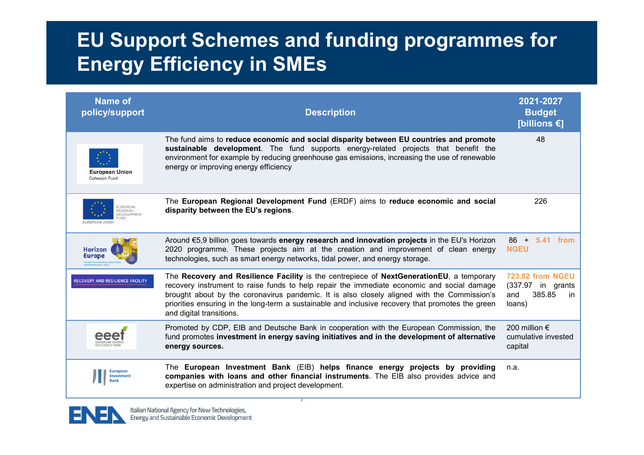### EU Support Schemes and funding programmes for Energy Efficiency in SMEs

| <b>Name of</b><br>policy/support                  | <b>Description</b>                                                                                                                                                                                                                                                                                                                                                                                                     | 2021-2027<br><b>Budget</b><br>[billions $\epsilon$ ]                                     |
|---------------------------------------------------|------------------------------------------------------------------------------------------------------------------------------------------------------------------------------------------------------------------------------------------------------------------------------------------------------------------------------------------------------------------------------------------------------------------------|------------------------------------------------------------------------------------------|
| European Union<br>Cohesion Fund                   | The fund aims to reduce economic and social disparity between EU countries and promote<br>sustainable development. The fund supports energy-related projects that benefit the<br>environment for example by reducing greenhouse gas emissions, increasing the use of renewable<br>energy or improving energy efficiency                                                                                                | 48                                                                                       |
| <b>DEVELOPMENT</b><br>UND<br><b>UROPEAN UNION</b> | The European Regional Development Fund (ERDF) aims to reduce economic and social<br>disparity between the EU's regions.                                                                                                                                                                                                                                                                                                | 226                                                                                      |
| <b>Horizon</b><br>Europe                          | Around €5,9 billion goes towards energy research and innovation projects in the EU's Horizon<br>2020 programme. These projects aim at the creation and improvement of clean energy<br>technologies, such as smart energy networks, tidal power, and energy storage.                                                                                                                                                    | 5.41 from<br>86 +<br><b>NGEU</b>                                                         |
| RECOVERY AND RESILIENCE FACILITY                  | The Recovery and Resilience Facility is the centrepiece of NextGenerationEU, a temporary<br>recovery instrument to raise funds to help repair the immediate economic and social damage<br>brought about by the coronavirus pandemic. It is also closely aligned with the Commission's<br>priorities ensuring in the long-term a sustainable and inclusive recovery that promotes the green<br>and digital transitions. | <b>723.82 from NGEU</b><br>(337.97 in grants<br>385.85<br>and<br><sub>in</sub><br>loans) |
|                                                   | Promoted by CDP, EIB and Deutsche Bank in cooperation with the European Commission, the<br>fund promotes investment in energy saving initiatives and in the development of alternative<br>energy sources.                                                                                                                                                                                                              | 200 million $\epsilon$<br>cumulative invested<br>capital                                 |
| European<br>Investment                            | The European Investment Bank (EIB) helps finance energy projects by providing<br>companies with loans and other financial instruments. The EIB also provides advice and<br>expertise on administration and project development.                                                                                                                                                                                        | n.a.                                                                                     |

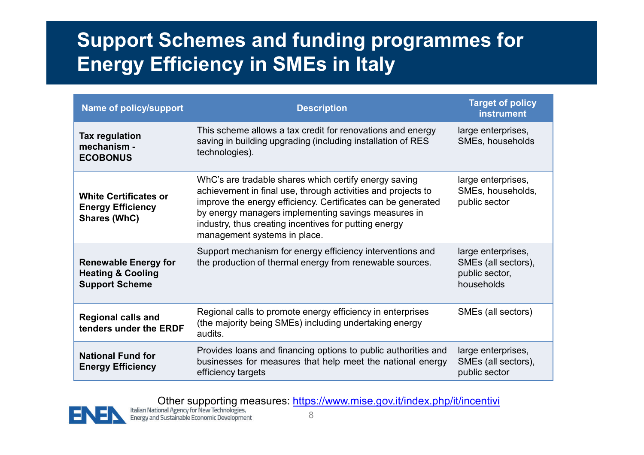## Support Schemes and funding programmes for Energy Efficiency in SMEs in Italy

| <b>Name of policy/support</b>                                                        | <b>Description</b>                                                                                                                                                                                                                                                                                                                    | <b>Target of policy</b><br><b>instrument</b>                              |
|--------------------------------------------------------------------------------------|---------------------------------------------------------------------------------------------------------------------------------------------------------------------------------------------------------------------------------------------------------------------------------------------------------------------------------------|---------------------------------------------------------------------------|
| <b>Tax regulation</b><br>mechanism -<br><b>ECOBONUS</b>                              | This scheme allows a tax credit for renovations and energy<br>saving in building upgrading (including installation of RES<br>technologies).                                                                                                                                                                                           | large enterprises,<br>SMEs, households                                    |
| <b>White Certificates or</b><br><b>Energy Efficiency</b><br><b>Shares (WhC)</b>      | WhC's are tradable shares which certify energy saving<br>achievement in final use, through activities and projects to<br>improve the energy efficiency. Certificates can be generated<br>by energy managers implementing savings measures in<br>industry, thus creating incentives for putting energy<br>management systems in place. | large enterprises,<br>SMEs, households,<br>public sector                  |
| <b>Renewable Energy for</b><br><b>Heating &amp; Cooling</b><br><b>Support Scheme</b> | Support mechanism for energy efficiency interventions and<br>the production of thermal energy from renewable sources.                                                                                                                                                                                                                 | large enterprises,<br>SMEs (all sectors),<br>public sector,<br>households |
| <b>Regional calls and</b><br>tenders under the ERDF                                  | Regional calls to promote energy efficiency in enterprises<br>(the majority being SMEs) including undertaking energy<br>audits.                                                                                                                                                                                                       | SMEs (all sectors)                                                        |
| <b>National Fund for</b><br><b>Energy Efficiency</b>                                 | Provides loans and financing options to public authorities and<br>businesses for measures that help meet the national energy<br>efficiency targets                                                                                                                                                                                    | large enterprises,<br>SMEs (all sectors),<br>public sector                |

Other supporting measures: https://www.mise.gov.it/index.php/it/incentiving talian National Agency for New Technologies,

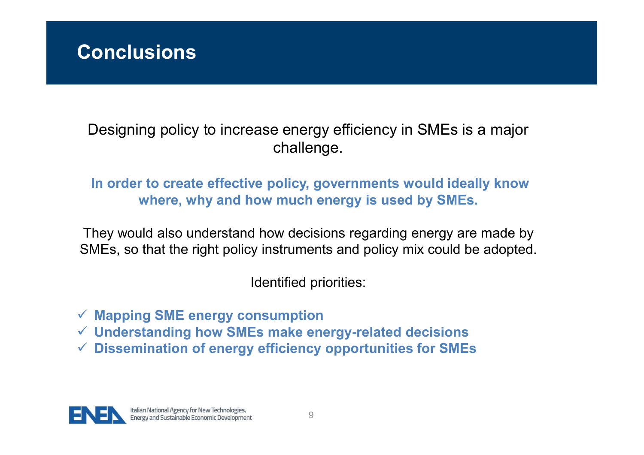

Designing policy to increase energy efficiency in SMEs is a major challenge.

#### In order to create effective policy, governments would ideally know where, why and how much energy is used by SMEs.

They would also understand how decisions regarding energy are made by SMEs, so that the right policy instruments and policy mix could be adopted.

Identified priorities:

 $\checkmark$  Mapping SME energy consumption

- $\checkmark$  Understanding how SMEs make energy-related decisions
- $\checkmark$  Dissemination of energy efficiency opportunities for SMEs